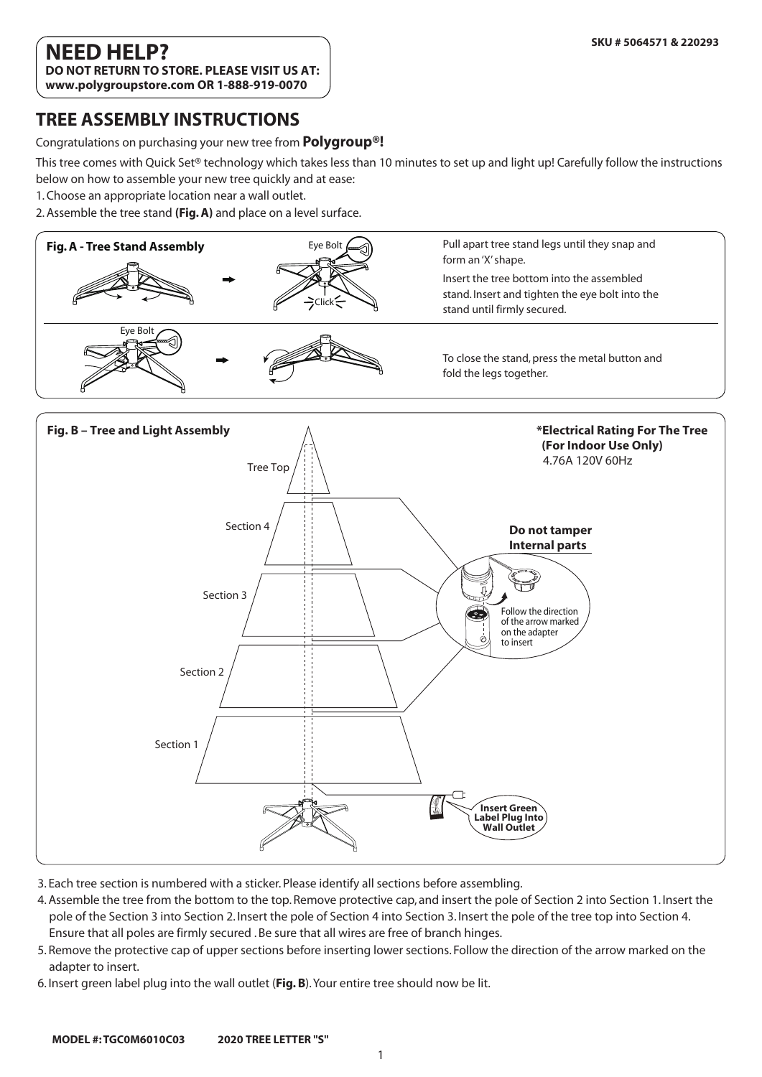### **NEED HELP? DO NOT RETURN TO STORE. PLEASE VISIT US AT:**

**www.polygroupstore.com OR 1-888-919-0070**

### **TREE ASSEMBLY INSTRUCTIONS**

Congratulations on purchasing your new tree from **Polygroup®!**

This tree comes with Quick Set® technology which takes less than 10 minutes to set up and light up! Carefully follow the instructions

below on how to assemble your new tree quickly and at ease:

1. Choose an appropriate location near a wall outlet.

2. Assemble the tree stand **(Fig. A)** and place on a level surface.





- 3. Each tree section is numbered with a sticker. Please identify all sections before assembling.
- 4. Assemble the tree from the bottom to the top. Remove protective cap, and insert the pole of Section 2 into Section 1. Insert the pole of the Section 3 into Section 2. Insert the pole of Section 4 into Section 3. Insert the pole of the tree top into Section 4. Ensure that all poles are firmly secured . Be sure that all wires are free of branch hinges.
- 5. Remove the protective cap of upper sections before inserting lower sections. Follow the direction of the arrow marked on the adapter to insert.
- 6. Insert green label plug into the wall outlet (**Fig. B**). Your entire tree should now be lit.